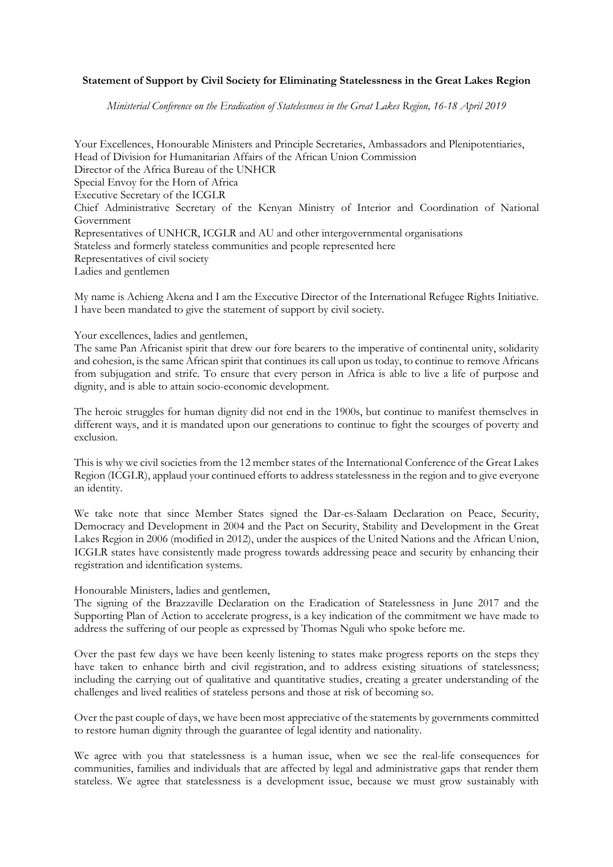## **Statement of Support by Civil Society for Eliminating Statelessness in the Great Lakes Region**

*Ministerial Conference on the Eradication of Statelessness in the Great Lakes Region, 16-18 April 2019*

Your Excellences, Honourable Ministers and Principle Secretaries, Ambassadors and Plenipotentiaries, Head of Division for Humanitarian Affairs of the African Union Commission Director of the Africa Bureau of the UNHCR Special Envoy for the Horn of Africa Executive Secretary of the ICGLR Chief Administrative Secretary of the Kenyan Ministry of Interior and Coordination of National Government Representatives of UNHCR, ICGLR and AU and other intergovernmental organisations Stateless and formerly stateless communities and people represented here Representatives of civil society Ladies and gentlemen

My name is Achieng Akena and I am the Executive Director of the International Refugee Rights Initiative. I have been mandated to give the statement of support by civil society.

Your excellences, ladies and gentlemen,

The same Pan Africanist spirit that drew our fore bearers to the imperative of continental unity, solidarity and cohesion, is the same African spirit that continues its call upon us today, to continue to remove Africans from subjugation and strife. To ensure that every person in Africa is able to live a life of purpose and dignity, and is able to attain socio-economic development.

The heroic struggles for human dignity did not end in the 1900s, but continue to manifest themselves in different ways, and it is mandated upon our generations to continue to fight the scourges of poverty and exclusion.

This is why we civil societies from the 12 member states of the International Conference of the Great Lakes Region (ICGLR), applaud your continued efforts to address statelessness in the region and to give everyone an identity.

We take note that since Member States signed the Dar-es-Salaam Declaration on Peace, Security, Democracy and Development in 2004 and the Pact on Security, Stability and Development in the Great Lakes Region in 2006 (modified in 2012), under the auspices of the United Nations and the African Union, ICGLR states have consistently made progress towards addressing peace and security by enhancing their registration and identification systems.

Honourable Ministers, ladies and gentlemen,

The signing of the Brazzaville Declaration on the Eradication of Statelessness in June 2017 and the Supporting Plan of Action to accelerate progress, is a key indication of the commitment we have made to address the suffering of our people as expressed by Thomas Nguli who spoke before me.

Over the past few days we have been keenly listening to states make progress reports on the steps they have taken to enhance birth and civil registration, and to address existing situations of statelessness; including the carrying out of qualitative and quantitative studies, creating a greater understanding of the challenges and lived realities of stateless persons and those at risk of becoming so.

Over the past couple of days, we have been most appreciative of the statements by governments committed to restore human dignity through the guarantee of legal identity and nationality.

We agree with you that statelessness is a human issue, when we see the real-life consequences for communities, families and individuals that are affected by legal and administrative gaps that render them stateless. We agree that statelessness is a development issue, because we must grow sustainably with